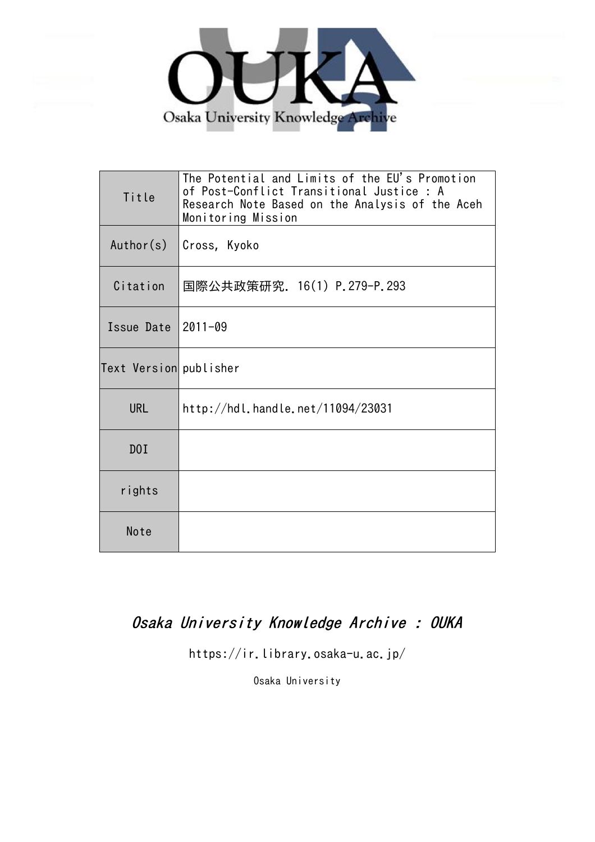

| Title                  | The Potential and Limits of the EU's Promotion<br>of Post-Conflict Transitional Justice : A<br>Research Note Based on the Analysis of the Aceh<br>Monitoring Mission |
|------------------------|----------------------------------------------------------------------------------------------------------------------------------------------------------------------|
| Author(s)              | Cross, Kyoko                                                                                                                                                         |
| Citation               | 国際公共政策研究. 16(1) P.279-P.293                                                                                                                                          |
| Issue Date $ 2011-09$  |                                                                                                                                                                      |
| Text Version publisher |                                                                                                                                                                      |
| <b>URL</b>             | http://hdl.handle.net/11094/23031                                                                                                                                    |
| D0I                    |                                                                                                                                                                      |
| rights                 |                                                                                                                                                                      |
| Note                   |                                                                                                                                                                      |

Osaka University Knowledge Archive : OUKA

https://ir.library.osaka-u.ac.jp/

Osaka University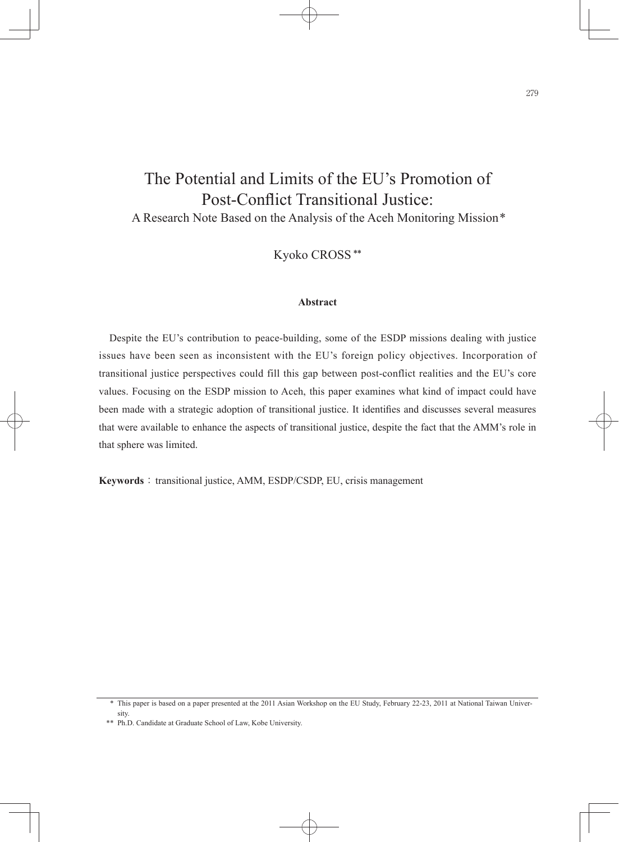# The Potential and Limits of the EU's Promotion of Post-Conflict Transitional Justice:

A Research Note Based on the Analysis of the Aceh Monitoring Mission\*

Kyoko CROSS \*\*

# **Abstract**

Despite the EU's contribution to peace-building, some of the ESDP missions dealing with justice issues have been seen as inconsistent with the EU's foreign policy objectives. Incorporation of transitional justice perspectives could fill this gap between post-conflict realities and the EU's core values. Focusing on the ESDP mission to Aceh, this paper examines what kind of impact could have been made with a strategic adoption of transitional justice. It identifies and discusses several measures that were available to enhance the aspects of transitional justice, despite the fact that the AMM's role in that sphere was limited.

**Keywords**: transitional justice, AMM, ESDP/CSDP, EU, crisis management

 <sup>\*</sup> This paper is based on a paper presented at the 2011 Asian Workshop on the EU Study, February 22-23, 2011 at National Taiwan University.

 <sup>\*\*</sup> Ph.D. Candidate at Graduate School of Law, Kobe University.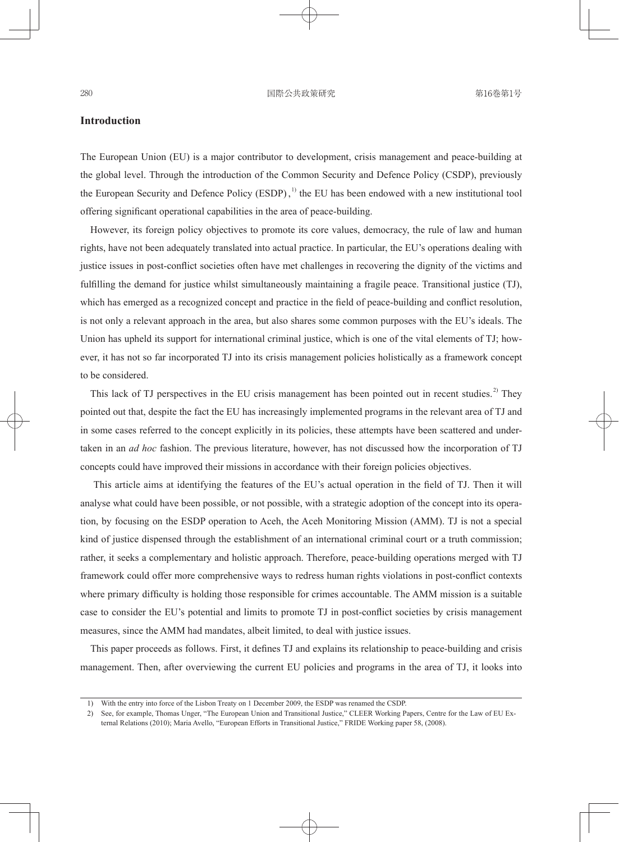# **Introduction**

The European Union (EU) is a major contributor to development, crisis management and peace-building at the global level. Through the introduction of the Common Security and Defence Policy (CSDP), previously the European Security and Defence Policy (ESDP),<sup>1)</sup> the EU has been endowed with a new institutional tool offering significant operational capabilities in the area of peace-building.

However, its foreign policy objectives to promote its core values, democracy, the rule of law and human rights, have not been adequately translated into actual practice. In particular, the EU's operations dealing with justice issues in post-conflict societies often have met challenges in recovering the dignity of the victims and fulfilling the demand for justice whilst simultaneously maintaining a fragile peace. Transitional justice (TJ), which has emerged as a recognized concept and practice in the field of peace-building and conflict resolution, is not only a relevant approach in the area, but also shares some common purposes with the EU's ideals. The Union has upheld its support for international criminal justice, which is one of the vital elements of TJ; however, it has not so far incorporated TJ into its crisis management policies holistically as a framework concept to be considered.

This lack of TJ perspectives in the EU crisis management has been pointed out in recent studies.<sup>2)</sup> They pointed out that, despite the fact the EU has increasingly implemented programs in the relevant area of TJ and in some cases referred to the concept explicitly in its policies, these attempts have been scattered and undertaken in an *ad hoc* fashion. The previous literature, however, has not discussed how the incorporation of TJ concepts could have improved their missions in accordance with their foreign policies objectives.

This article aims at identifying the features of the EU's actual operation in the field of TJ. Then it will analyse what could have been possible, or not possible, with a strategic adoption of the concept into its operation, by focusing on the ESDP operation to Aceh, the Aceh Monitoring Mission (AMM). TJ is not a special kind of justice dispensed through the establishment of an international criminal court or a truth commission; rather, it seeks a complementary and holistic approach. Therefore, peace-building operations merged with TJ framework could offer more comprehensive ways to redress human rights violations in post-conflict contexts where primary difficulty is holding those responsible for crimes accountable. The AMM mission is a suitable case to consider the EU's potential and limits to promote TJ in post-conflict societies by crisis management measures, since the AMM had mandates, albeit limited, to deal with justice issues.

This paper proceeds as follows. First, it defines TJ and explains its relationship to peace-building and crisis management. Then, after overviewing the current EU policies and programs in the area of TJ, it looks into

 <sup>1)</sup> With the entry into force of the Lisbon Treaty on 1 December 2009, the ESDP was renamed the CSDP.

 <sup>2)</sup> See, for example, Thomas Unger, "The European Union and Transitional Justice," CLEER Working Papers, Centre for the Law of EU External Relations (2010); Maria Avello, "European Efforts in Transitional Justice," FRIDE Working paper 58, (2008).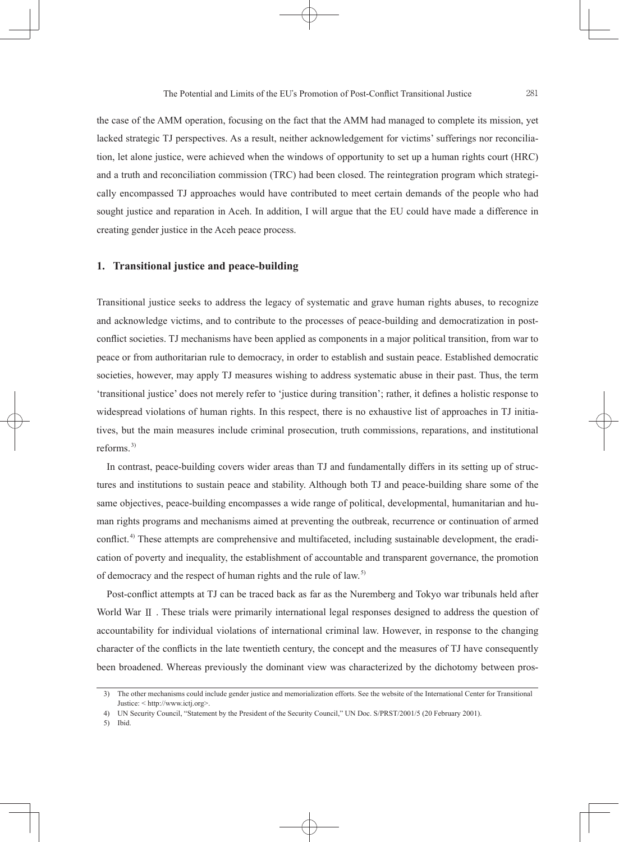the case of the AMM operation, focusing on the fact that the AMM had managed to complete its mission, yet lacked strategic TJ perspectives. As a result, neither acknowledgement for victims' sufferings nor reconciliation, let alone justice, were achieved when the windows of opportunity to set up a human rights court (HRC) and a truth and reconciliation commission (TRC) had been closed. The reintegration program which strategically encompassed TJ approaches would have contributed to meet certain demands of the people who had sought justice and reparation in Aceh. In addition, I will argue that the EU could have made a difference in creating gender justice in the Aceh peace process.

## **1. Transitional justice and peace-building**

Transitional justice seeks to address the legacy of systematic and grave human rights abuses, to recognize and acknowledge victims, and to contribute to the processes of peace-building and democratization in postconflict societies. TJ mechanisms have been applied as components in a major political transition, from war to peace or from authoritarian rule to democracy, in order to establish and sustain peace. Established democratic societies, however, may apply TJ measures wishing to address systematic abuse in their past. Thus, the term 'transitional justice' does not merely refer to 'justice during transition'; rather, it defines a holistic response to widespread violations of human rights. In this respect, there is no exhaustive list of approaches in TJ initiatives, but the main measures include criminal prosecution, truth commissions, reparations, and institutional reforms. 3)

In contrast, peace-building covers wider areas than TJ and fundamentally differs in its setting up of structures and institutions to sustain peace and stability. Although both TJ and peace-building share some of the same objectives, peace-building encompasses a wide range of political, developmental, humanitarian and human rights programs and mechanisms aimed at preventing the outbreak, recurrence or continuation of armed conflict.<sup>4)</sup> These attempts are comprehensive and multifaceted, including sustainable development, the eradication of poverty and inequality, the establishment of accountable and transparent governance, the promotion of democracy and the respect of human rights and the rule of law. 5)

Post-conflict attempts at TJ can be traced back as far as the Nuremberg and Tokyo war tribunals held after World War Ⅱ . These trials were primarily international legal responses designed to address the question of accountability for individual violations of international criminal law. However, in response to the changing character of the conflicts in the late twentieth century, the concept and the measures of TJ have consequently been broadened. Whereas previously the dominant view was characterized by the dichotomy between pros-

 <sup>3)</sup> The other mechanisms could include gender justice and memorialization efforts. See the website of the International Center for Transitional Justice: < http://www.ictj.org>.

 <sup>4)</sup> UN Security Council, "Statement by the President of the Security Council," UN Doc. S/PRST/2001/5 (20 February 2001).

 <sup>5)</sup> Ibid.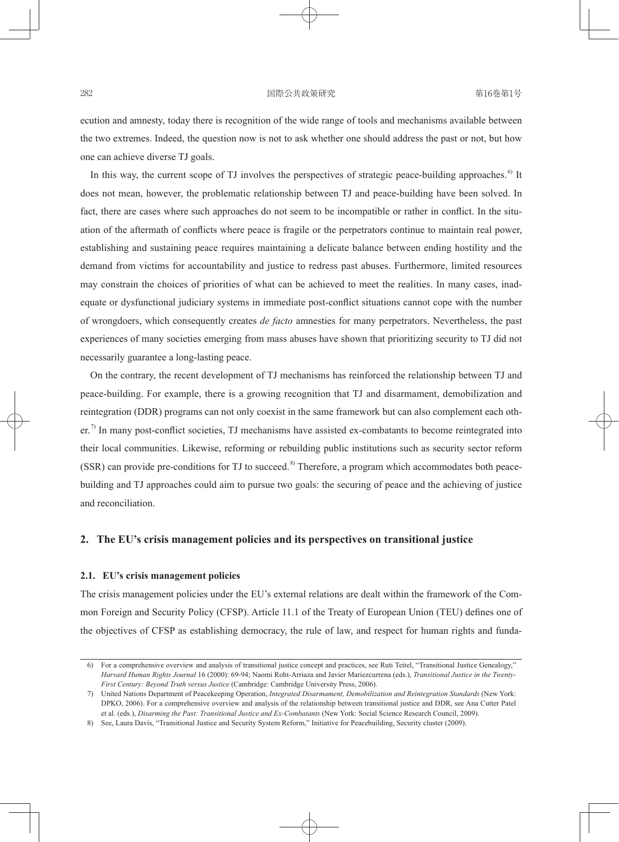### 282 日本 - 国際公共政策研究 - 国際公共政策研究 - 第16巻第1号

ecution and amnesty, today there is recognition of the wide range of tools and mechanisms available between the two extremes. Indeed, the question now is not to ask whether one should address the past or not, but how one can achieve diverse TJ goals.

In this way, the current scope of TJ involves the perspectives of strategic peace-building approaches.<sup>6)</sup> It does not mean, however, the problematic relationship between TJ and peace-building have been solved. In fact, there are cases where such approaches do not seem to be incompatible or rather in conflict. In the situation of the aftermath of conflicts where peace is fragile or the perpetrators continue to maintain real power, establishing and sustaining peace requires maintaining a delicate balance between ending hostility and the demand from victims for accountability and justice to redress past abuses. Furthermore, limited resources may constrain the choices of priorities of what can be achieved to meet the realities. In many cases, inadequate or dysfunctional judiciary systems in immediate post-conflict situations cannot cope with the number of wrongdoers, which consequently creates *de facto* amnesties for many perpetrators. Nevertheless, the past experiences of many societies emerging from mass abuses have shown that prioritizing security to TJ did not necessarily guarantee a long-lasting peace.

On the contrary, the recent development of TJ mechanisms has reinforced the relationship between TJ and peace-building. For example, there is a growing recognition that TJ and disarmament, demobilization and reintegration (DDR) programs can not only coexist in the same framework but can also complement each other.<sup>7)</sup> In many post-conflict societies, TJ mechanisms have assisted ex-combatants to become reintegrated into their local communities. Likewise, reforming or rebuilding public institutions such as security sector reform (SSR) can provide pre-conditions for TJ to succeed.<sup>8)</sup> Therefore, a program which accommodates both peacebuilding and TJ approaches could aim to pursue two goals: the securing of peace and the achieving of justice and reconciliation.

## **2. The EU's crisis management policies and its perspectives on transitional justice**

#### **2.1. EU's crisis management policies**

The crisis management policies under the EU's external relations are dealt within the framework of the Common Foreign and Security Policy (CFSP). Article 11.1 of the Treaty of European Union (TEU) defines one of the objectives of CFSP as establishing democracy, the rule of law, and respect for human rights and funda-

 <sup>6)</sup> For a comprehensive overview and analysis of transitional justice concept and practices, see Ruti Teitel, "Transitional Justice Genealogy," *Harvard Human Rights Journal* 16 (2000): 69-94; Naomi Roht-Arriaza and Javier Mariezcurrena (eds.), *Transitional Justice in the Twenty-First Century: Beyond Truth versus Justice* (Cambridge: Cambridge University Press, 2006).

 <sup>7)</sup> United Nations Department of Peacekeeping Operation, *Integrated Disarmament, Demobilization and Reintegration Standards* (New York: DPKO, 2006). For a comprehensive overview and analysis of the relationship between transitional justice and DDR, see Ana Cutter Patel et al. (eds.), *Disarming the Past: Transitional Justice and Ex-Combatants* (New York: Social Science Research Council, 2009).

 <sup>8)</sup> See, Laura Davis, "Transitional Justice and Security System Reform," Initiative for Peacebuilding, Security cluster (2009).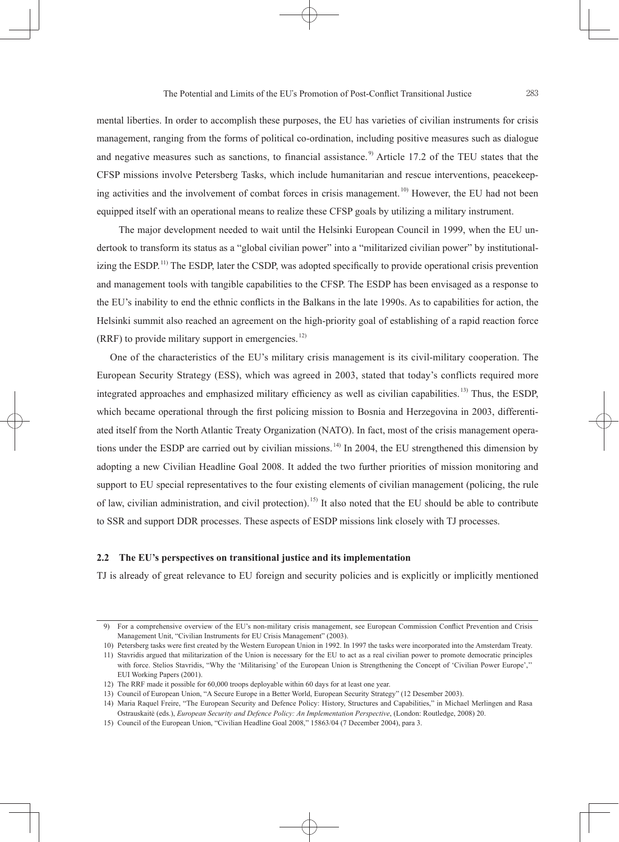mental liberties. In order to accomplish these purposes, the EU has varieties of civilian instruments for crisis management, ranging from the forms of political co-ordination, including positive measures such as dialogue and negative measures such as sanctions, to financial assistance.<sup>9)</sup> Article 17.2 of the TEU states that the CFSP missions involve Petersberg Tasks, which include humanitarian and rescue interventions, peacekeeping activities and the involvement of combat forces in crisis management.<sup>10)</sup> However, the EU had not been equipped itself with an operational means to realize these CFSP goals by utilizing a military instrument.

 The major development needed to wait until the Helsinki European Council in 1999, when the EU undertook to transform its status as a "global civilian power" into a "militarized civilian power" by institutionalizing the ESDP.<sup>11)</sup> The ESDP, later the CSDP, was adopted specifically to provide operational crisis prevention and management tools with tangible capabilities to the CFSP. The ESDP has been envisaged as a response to the EU's inability to end the ethnic conflicts in the Balkans in the late 1990s. As to capabilities for action, the Helsinki summit also reached an agreement on the high-priority goal of establishing of a rapid reaction force  $(RRF)$  to provide military support in emergencies.<sup>12)</sup>

 One of the characteristics of the EU's military crisis management is its civil-military cooperation. The European Security Strategy (ESS), which was agreed in 2003, stated that today's conflicts required more integrated approaches and emphasized military efficiency as well as civilian capabilities.<sup>13)</sup> Thus, the ESDP. which became operational through the first policing mission to Bosnia and Herzegovina in 2003, differentiated itself from the North Atlantic Treaty Organization (NATO). In fact, most of the crisis management operations under the ESDP are carried out by civilian missions.<sup>14</sup> In 2004, the EU strengthened this dimension by adopting a new Civilian Headline Goal 2008. It added the two further priorities of mission monitoring and support to EU special representatives to the four existing elements of civilian management (policing, the rule of law, civilian administration, and civil protection).<sup>15)</sup> It also noted that the EU should be able to contribute to SSR and support DDR processes. These aspects of ESDP missions link closely with TJ processes.

# **2.2 The EU's perspectives on transitional justice and its implementation**

TJ is already of great relevance to EU foreign and security policies and is explicitly or implicitly mentioned

<sup>9)</sup> For a comprehensive overview of the EU's non-military crisis management, see European Commission Conflict Prevention and Crisis Management Unit, "Civilian Instruments for EU Crisis Management" (2003).

 <sup>10)</sup> Petersberg tasks were fi rst created by the Western European Union in 1992. In 1997 the tasks were incorporated into the Amsterdam Treaty.

 <sup>11)</sup> Stavridis argued that militarization of the Union is necessary for the EU to act as a real civilian power to promote democratic principles with force. Stelios Stavridis, "Why the 'Militarising' of the European Union is Strengthening the Concept of 'Civilian Power Europe','' EUI Working Papers (2001).

 <sup>12)</sup> The RRF made it possible for 60,000 troops deployable within 60 days for at least one year.

 <sup>13)</sup> Council of European Union, "A Secure Europe in a Better World, European Security Strategy" (12 Desember 2003).

 <sup>14)</sup> Maria Raquel Freire, "The European Security and Defence Policy: History, Structures and Capabilities," in Michael Merlingen and Rasa Ostrauskaitė (eds.), *European Security and Defence Policy: An Implementation Perspective*, (London: Routledge, 2008) 20.

 <sup>15)</sup> Council of the European Union, "Civilian Headline Goal 2008," 15863/04 (7 December 2004), para 3.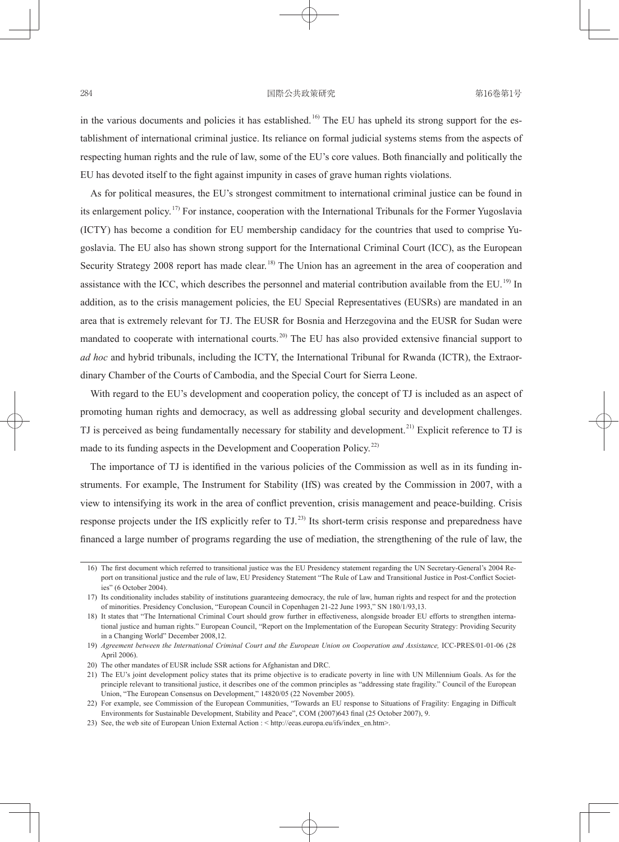in the various documents and policies it has established.<sup>16)</sup> The EU has upheld its strong support for the establishment of international criminal justice. Its reliance on formal judicial systems stems from the aspects of respecting human rights and the rule of law, some of the EU's core values. Both financially and politically the EU has devoted itself to the fight against impunity in cases of grave human rights violations.

As for political measures, the EU's strongest commitment to international criminal justice can be found in its enlargement policy.<sup>17)</sup> For instance, cooperation with the International Tribunals for the Former Yugoslavia (ICTY) has become a condition for EU membership candidacy for the countries that used to comprise Yugoslavia. The EU also has shown strong support for the International Criminal Court (ICC), as the European Security Strategy 2008 report has made clear.<sup>18)</sup> The Union has an agreement in the area of cooperation and assistance with the ICC, which describes the personnel and material contribution available from the EU.<sup>19)</sup> In addition, as to the crisis management policies, the EU Special Representatives (EUSRs) are mandated in an area that is extremely relevant for TJ. The EUSR for Bosnia and Herzegovina and the EUSR for Sudan were mandated to cooperate with international courts.<sup>20)</sup> The EU has also provided extensive financial support to *ad hoc* and hybrid tribunals, including the ICTY, the International Tribunal for Rwanda (ICTR), the Extraordinary Chamber of the Courts of Cambodia, and the Special Court for Sierra Leone.

With regard to the EU's development and cooperation policy, the concept of TJ is included as an aspect of promoting human rights and democracy, as well as addressing global security and development challenges. TJ is perceived as being fundamentally necessary for stability and development.<sup>21)</sup> Explicit reference to TJ is made to its funding aspects in the Development and Cooperation Policy.<sup>22)</sup>

The importance of TJ is identified in the various policies of the Commission as well as in its funding instruments. For example, The Instrument for Stability (IfS) was created by the Commission in 2007, with a view to intensifying its work in the area of conflict prevention, crisis management and peace-building. Crisis response projects under the IfS explicitly refer to TJ.<sup>23)</sup> Its short-term crisis response and preparedness have financed a large number of programs regarding the use of mediation, the strengthening of the rule of law, the

 21) The EU's joint development policy states that its prime objective is to eradicate poverty in line with UN Millennium Goals. As for the principle relevant to transitional justice, it describes one of the common principles as "addressing state fragility." Council of the European Union, "The European Consensus on Development," 14820/05 (22 November 2005).

<sup>16)</sup> The first document which referred to transitional justice was the EU Presidency statement regarding the UN Secretary-General's 2004 Report on transitional justice and the rule of law, EU Presidency Statement "The Rule of Law and Transitional Justice in Post-Conflict Societies" (6 October 2004).

 <sup>17)</sup> Its conditionality includes stability of institutions guaranteeing democracy, the rule of law, human rights and respect for and the protection of minorities. Presidency Conclusion, "European Council in Copenhagen 21-22 June 1993," SN 180/1/93,13.

 <sup>18)</sup> It states that "The International Criminal Court should grow further in effectiveness, alongside broader EU efforts to strengthen international justice and human rights." European Council, "Report on the Implementation of the European Security Strategy: Providing Security in a Changing World" December 2008,12.

 <sup>19)</sup> *Agreement between the International Criminal Court and the European Union on Cooperation and Assistance,* ICC-PRES/01-01-06 (28 April 2006).

 <sup>20)</sup> The other mandates of EUSR include SSR actions for Afghanistan and DRC.

<sup>22)</sup> For example, see Commission of the European Communities, "Towards an EU response to Situations of Fragility: Engaging in Difficult Environments for Sustainable Development, Stability and Peace", COM (2007)643 final (25 October 2007), 9.

 <sup>23)</sup> See, the web site of European Union External Action : < http://eeas.europa.eu/ifs/index\_en.htm>.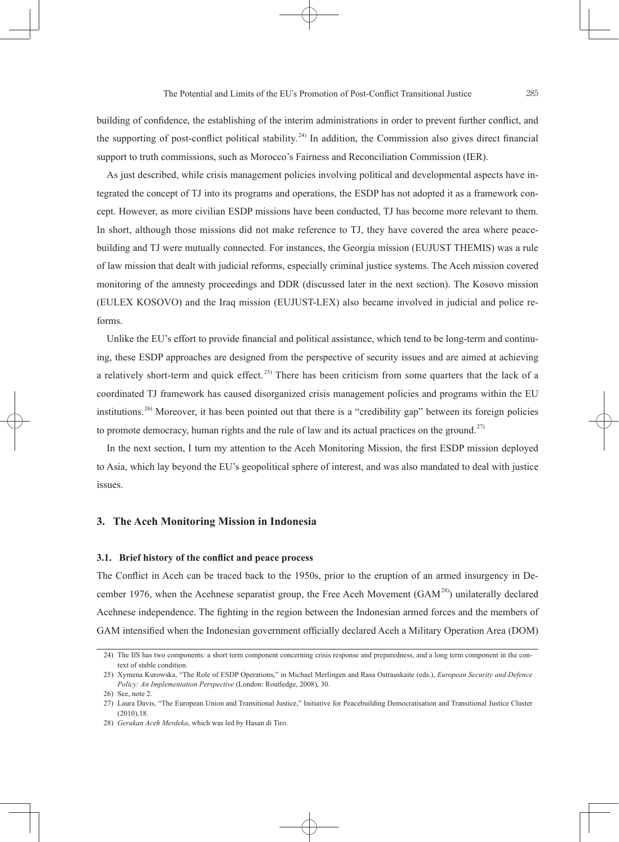building of confidence, the establishing of the interim administrations in order to prevent further conflict, and the supporting of post-conflict political stability.<sup>24)</sup> In addition, the Commission also gives direct financial support to truth commissions, such as Morocco's Fairness and Reconciliation Commission (IER).

As just described, while crisis management policies involving political and developmental aspects have integrated the concept of TJ into its programs and operations, the ESDP has not adopted it as a framework concept. However, as more civilian ESDP missions have been conducted, TJ has become more relevant to them. In short, although those missions did not make reference to TJ, they have covered the area where peacebuilding and TJ were mutually connected. For instances, the Georgia mission (EUJUST THEMIS) was a rule of law mission that dealt with judicial reforms, especially criminal justice systems. The Aceh mission covered monitoring of the amnesty proceedings and DDR (discussed later in the next section). The Kosovo mission (EULEX KOSOVO) and the Iraq mission (EUJUST-LEX) also became involved in judicial and police reforms.

Unlike the EU's effort to provide financial and political assistance, which tend to be long-term and continuing, these ESDP approaches are designed from the perspective of security issues and are aimed at achieving a relatively short-term and quick effect.<sup>25)</sup> There has been criticism from some quarters that the lack of a coordinated TJ framework has caused disorganized crisis management policies and programs within the EU institutions.<sup>26)</sup> Moreover, it has been pointed out that there is a "credibility gap" between its foreign policies to promote democracy, human rights and the rule of law and its actual practices on the ground.<sup>27)</sup>

In the next section, I turn my attention to the Aceh Monitoring Mission, the first ESDP mission deployed to Asia, which lay beyond the EU's geopolitical sphere of interest, and was also mandated to deal with justice issues.

# **3. The Aceh Monitoring Mission in Indonesia**

#### **3.1. Brief history of the conflict and peace process**

The Conflict in Aceh can be traced back to the 1950s, prior to the eruption of an armed insurgency in December 1976, when the Acehnese separatist group, the Free Aceh Movement ( $GAM<sup>28</sup>$ ) unilaterally declared Acehnese independence. The fighting in the region between the Indonesian armed forces and the members of GAM intensified when the Indonesian government officially declared Aceh a Military Operation Area (DOM)

 <sup>24)</sup> The IfS has two components: a short term component concerning crisis response and preparedness, and a long term component in the context of stable condition.

 <sup>25)</sup> Xymena Kurowska, "The Role of ESDP Operations," in Michael Merlingen and Rasa Ostrauskaite (eds.), *European Security and Defence Policy: An Implementation Perspective* (London: Routledge, 2008), 30.

 <sup>26)</sup> See, note 2.

 <sup>27)</sup> Laura Davis, "The European Union and Transitional Justice," Initiative for Peacebuilding Democratisation and Transitional Justice Cluster (2010),18.

 <sup>28)</sup> *Gerakan Aceh Merdeka*, which was led by Hasan di Tiro.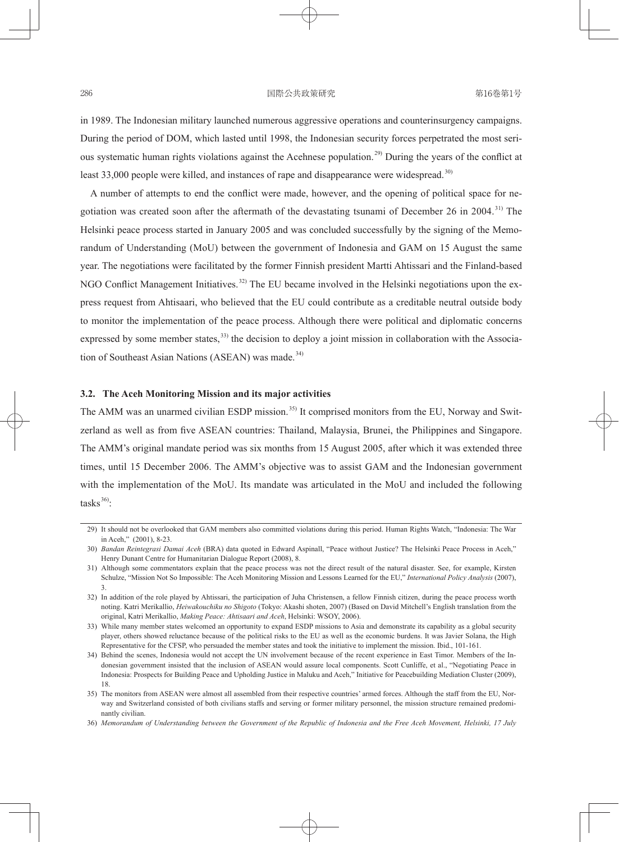in 1989. The Indonesian military launched numerous aggressive operations and counterinsurgency campaigns. During the period of DOM, which lasted until 1998, the Indonesian security forces perpetrated the most serious systematic human rights violations against the Acehnese population.<sup>29)</sup> During the years of the conflict at least 33,000 people were killed, and instances of rape and disappearance were widespread.<sup>30)</sup>

A number of attempts to end the conflict were made, however, and the opening of political space for negotiation was created soon after the aftermath of the devastating tsunami of December 26 in 2004.<sup>31)</sup> The Helsinki peace process started in January 2005 and was concluded successfully by the signing of the Memorandum of Understanding (MoU) between the government of Indonesia and GAM on 15 August the same year. The negotiations were facilitated by the former Finnish president Martti Ahtissari and the Finland-based NGO Conflict Management Initiatives.<sup>32)</sup> The EU became involved in the Helsinki negotiations upon the express request from Ahtisaari, who believed that the EU could contribute as a creditable neutral outside body to monitor the implementation of the peace process. Although there were political and diplomatic concerns expressed by some member states, <sup>33)</sup> the decision to deploy a joint mission in collaboration with the Association of Southeast Asian Nations (ASEAN) was made.<sup>34)</sup>

## **3.2. The Aceh Monitoring Mission and its major activities**

The AMM was an unarmed civilian ESDP mission.<sup>35)</sup> It comprised monitors from the EU, Norway and Switzerland as well as from five ASEAN countries: Thailand, Malaysia, Brunei, the Philippines and Singapore. The AMM's original mandate period was six months from 15 August 2005, after which it was extended three times, until 15 December 2006. The AMM's objective was to assist GAM and the Indonesian government with the implementation of the MoU. Its mandate was articulated in the MoU and included the following tasks<sup>36)</sup>.

 <sup>29)</sup> It should not be overlooked that GAM members also committed violations during this period. Human Rights Watch, "Indonesia: The War in Aceh," (2001), 8-23.

 <sup>30)</sup> *Bandan Reintegrasi Damai Aceh* (BRA) data quoted in Edward Aspinall, "Peace without Justice? The Helsinki Peace Process in Aceh," Henry Dunant Centre for Humanitarian Dialogue Report (2008), 8.

 <sup>31)</sup> Although some commentators explain that the peace process was not the direct result of the natural disaster. See, for example, Kirsten Schulze, "Mission Not So Impossible: The Aceh Monitoring Mission and Lessons Learned for the EU," *International Policy Analysis* (2007), 3.

 <sup>32)</sup> In addition of the role played by Ahtissari, the participation of Juha Christensen, a fellow Finnish citizen, during the peace process worth noting. Katri Merikallio, *Heiwakouchiku no Shigoto* (Tokyo: Akashi shoten, 2007) (Based on David Mitchell's English translation from the original, Katri Merikallio, *Making Peace: Ahtisaari and Aceh*, Helsinki: WSOY, 2006).

 <sup>33)</sup> While many member states welcomed an opportunity to expand ESDP missions to Asia and demonstrate its capability as a global security player, others showed reluctance because of the political risks to the EU as well as the economic burdens. It was Javier Solana, the High Representative for the CFSP, who persuaded the member states and took the initiative to implement the mission. Ibid., 101-161.

 <sup>34)</sup> Behind the scenes, Indonesia would not accept the UN involvement because of the recent experience in East Timor. Members of the Indonesian government insisted that the inclusion of ASEAN would assure local components. Scott Cunliffe, et al., "Negotiating Peace in Indonesia: Prospects for Building Peace and Upholding Justice in Maluku and Aceh," Initiative for Peacebuilding Mediation Cluster (2009), 18.

 <sup>35)</sup> The monitors from ASEAN were almost all assembled from their respective countries' armed forces. Although the staff from the EU, Norway and Switzerland consisted of both civilians staffs and serving or former military personnel, the mission structure remained predominantly civilian.

 <sup>36)</sup> *Memorandum of Understanding between the Government of the Republic of Indonesia and the Free Aceh Movement, Helsinki, 17 July*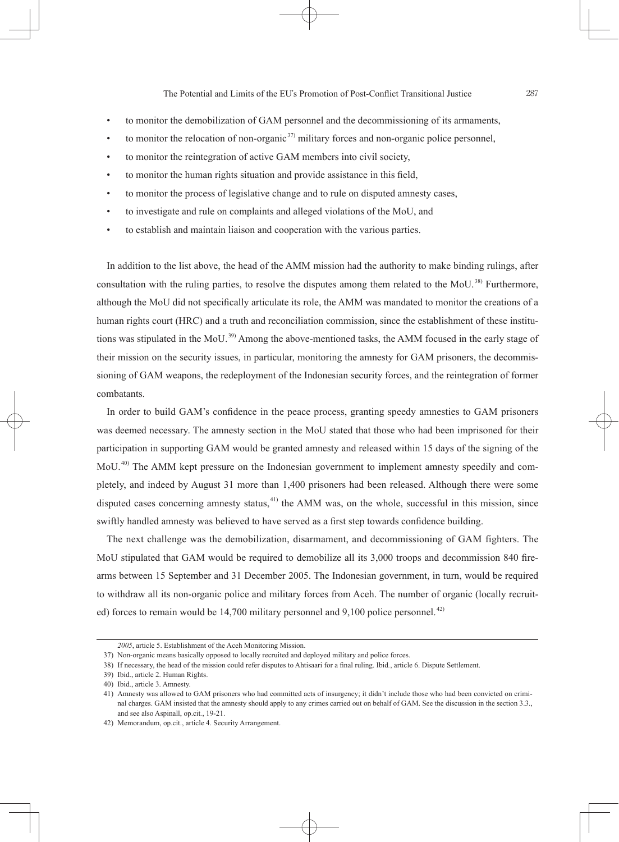- to monitor the demobilization of GAM personnel and the decommissioning of its armaments,
- to monitor the relocation of non-organic  $37$  military forces and non-organic police personnel,
- to monitor the reintegration of active GAM members into civil society,
- to monitor the human rights situation and provide assistance in this field,
- to monitor the process of legislative change and to rule on disputed amnesty cases,
- to investigate and rule on complaints and alleged violations of the MoU, and
- to establish and maintain liaison and cooperation with the various parties.

In addition to the list above, the head of the AMM mission had the authority to make binding rulings, after consultation with the ruling parties, to resolve the disputes among them related to the MoU.<sup>38)</sup> Furthermore, although the MoU did not specifically articulate its role, the AMM was mandated to monitor the creations of a human rights court (HRC) and a truth and reconciliation commission, since the establishment of these institutions was stipulated in the MoU.<sup>39</sup> Among the above-mentioned tasks, the AMM focused in the early stage of their mission on the security issues, in particular, monitoring the amnesty for GAM prisoners, the decommissioning of GAM weapons, the redeployment of the Indonesian security forces, and the reintegration of former combatants.

In order to build GAM's confidence in the peace process, granting speedy amnesties to GAM prisoners was deemed necessary. The amnesty section in the MoU stated that those who had been imprisoned for their participation in supporting GAM would be granted amnesty and released within 15 days of the signing of the MoU. 40) The AMM kept pressure on the Indonesian government to implement amnesty speedily and completely, and indeed by August 31 more than 1,400 prisoners had been released. Although there were some disputed cases concerning amnesty status,<sup>41)</sup> the AMM was, on the whole, successful in this mission, since swiftly handled amnesty was believed to have served as a first step towards confidence building.

The next challenge was the demobilization, disarmament, and decommissioning of GAM fighters. The MoU stipulated that GAM would be required to demobilize all its 3,000 troops and decommission 840 firearms between 15 September and 31 December 2005. The Indonesian government, in turn, would be required to withdraw all its non-organic police and military forces from Aceh. The number of organic (locally recruited) forces to remain would be  $14,700$  military personnel and  $9,100$  police personnel.<sup> $42)$ </sup>

*<sup>2005</sup>*, article 5. Establishment of the Aceh Monitoring Mission.

 <sup>37)</sup> Non-organic means basically opposed to locally recruited and deployed military and police forces.

<sup>38)</sup> If necessary, the head of the mission could refer disputes to Ahtisaari for a final ruling. Ibid., article 6. Dispute Settlement.

 <sup>39)</sup> Ibid., article 2. Human Rights.

 <sup>40)</sup> Ibid., article 3. Amnesty.

 <sup>41)</sup> Amnesty was allowed to GAM prisoners who had committed acts of insurgency; it didn't include those who had been convicted on criminal charges. GAM insisted that the amnesty should apply to any crimes carried out on behalf of GAM. See the discussion in the section 3.3., and see also Aspinall, op.cit*.*, 19-21.

 <sup>42)</sup> Memorandum, op.cit., article 4. Security Arrangement.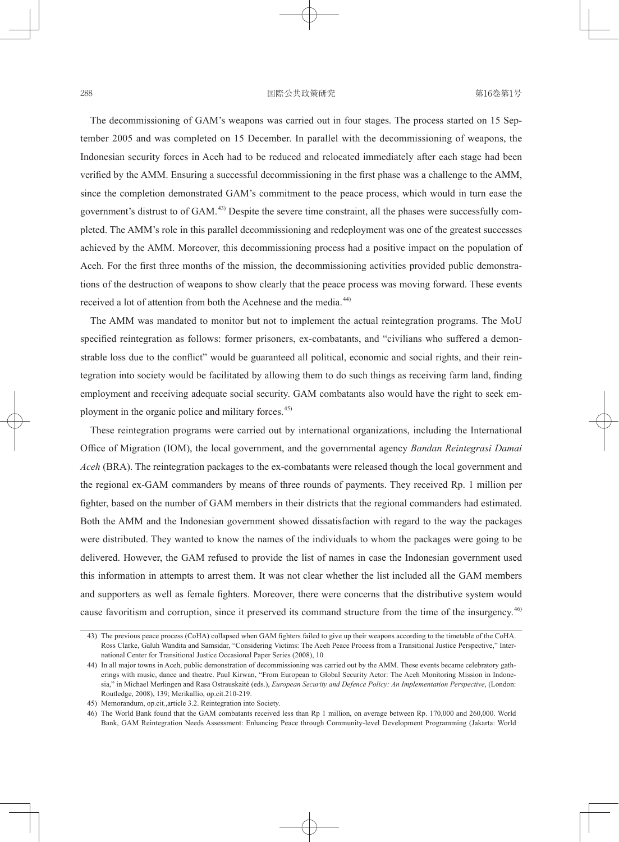## 288 日本 - 西際公共政策研究 - 西藤公共政策研究 - 16巻第1号

The decommissioning of GAM's weapons was carried out in four stages. The process started on 15 September 2005 and was completed on 15 December. In parallel with the decommissioning of weapons, the Indonesian security forces in Aceh had to be reduced and relocated immediately after each stage had been verified by the AMM. Ensuring a successful decommissioning in the first phase was a challenge to the AMM, since the completion demonstrated GAM's commitment to the peace process, which would in turn ease the government's distrust to of GAM. 43) Despite the severe time constraint, all the phases were successfully completed. The AMM's role in this parallel decommissioning and redeployment was one of the greatest successes achieved by the AMM. Moreover, this decommissioning process had a positive impact on the population of Aceh. For the first three months of the mission, the decommissioning activities provided public demonstrations of the destruction of weapons to show clearly that the peace process was moving forward. These events received a lot of attention from both the Acehnese and the media.<sup>44)</sup>

The AMM was mandated to monitor but not to implement the actual reintegration programs. The MoU specified reintegration as follows: former prisoners, ex-combatants, and "civilians who suffered a demonstrable loss due to the conflict" would be guaranteed all political, economic and social rights, and their reintegration into society would be facilitated by allowing them to do such things as receiving farm land, finding employment and receiving adequate social security. GAM combatants also would have the right to seek employment in the organic police and military forces.<sup>45)</sup>

These reintegration programs were carried out by international organizations, including the International Office of Migration (IOM), the local government, and the governmental agency *Bandan Reintegrasi Damai Aceh* (BRA). The reintegration packages to the ex-combatants were released though the local government and the regional ex-GAM commanders by means of three rounds of payments. They received Rp. 1 million per fighter, based on the number of GAM members in their districts that the regional commanders had estimated. Both the AMM and the Indonesian government showed dissatisfaction with regard to the way the packages were distributed. They wanted to know the names of the individuals to whom the packages were going to be delivered. However, the GAM refused to provide the list of names in case the Indonesian government used this information in attempts to arrest them. It was not clear whether the list included all the GAM members and supporters as well as female fighters. Moreover, there were concerns that the distributive system would cause favoritism and corruption, since it preserved its command structure from the time of the insurgency.<sup>46</sup>

<sup>43)</sup> The previous peace process (CoHA) collapsed when GAM fighters failed to give up their weapons according to the timetable of the CoHA. Ross Clarke, Galuh Wandita and Samsidar, "Considering Victims: The Aceh Peace Process from a Transitional Justice Perspective," International Center for Transitional Justice Occasional Paper Series (2008), 10.

 <sup>44)</sup> In all major towns in Aceh, public demonstration of decommissioning was carried out by the AMM. These events became celebratory gatherings with music, dance and theatre. Paul Kirwan, "From European to Global Security Actor: The Aceh Monitoring Mission in Indonesia," in Michael Merlingen and Rasa Ostrauskaitė (eds.), *European Security and Defence Policy: An Implementation Perspective*, (London: Routledge, 2008), 139; Merikallio, op.cit.210-219.

 <sup>45)</sup> Memorandum, op.cit.,article 3.2. Reintegration into Society.

 <sup>46)</sup> The World Bank found that the GAM combatants received less than Rp 1 million, on average between Rp. 170,000 and 260,000. World Bank, GAM Reintegration Needs Assessment: Enhancing Peace through Community-level Development Programming (Jakarta: World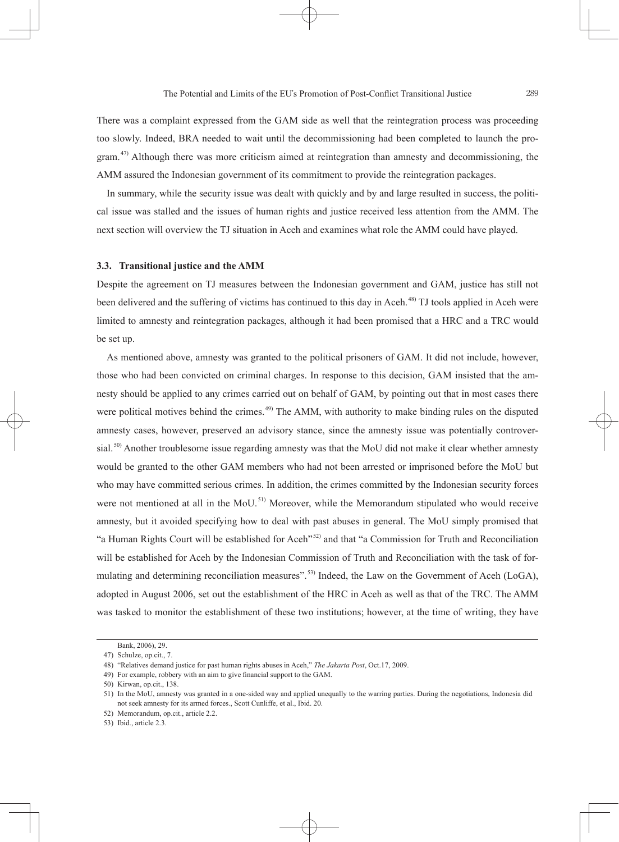There was a complaint expressed from the GAM side as well that the reintegration process was proceeding too slowly. Indeed, BRA needed to wait until the decommissioning had been completed to launch the program.<sup>47)</sup> Although there was more criticism aimed at reintegration than amnesty and decommissioning, the AMM assured the Indonesian government of its commitment to provide the reintegration packages.

In summary, while the security issue was dealt with quickly and by and large resulted in success, the political issue was stalled and the issues of human rights and justice received less attention from the AMM. The next section will overview the TJ situation in Aceh and examines what role the AMM could have played.

#### **3.3. Transitional justice and the AMM**

Despite the agreement on TJ measures between the Indonesian government and GAM, justice has still not been delivered and the suffering of victims has continued to this day in Aceh.<sup>48)</sup> TJ tools applied in Aceh were limited to amnesty and reintegration packages, although it had been promised that a HRC and a TRC would be set up.

As mentioned above, amnesty was granted to the political prisoners of GAM. It did not include, however, those who had been convicted on criminal charges. In response to this decision, GAM insisted that the amnesty should be applied to any crimes carried out on behalf of GAM, by pointing out that in most cases there were political motives behind the crimes.<sup>49)</sup> The AMM, with authority to make binding rules on the disputed amnesty cases, however, preserved an advisory stance, since the amnesty issue was potentially controversial.<sup>50</sup> Another troublesome issue regarding amnesty was that the MoU did not make it clear whether amnesty would be granted to the other GAM members who had not been arrested or imprisoned before the MoU but who may have committed serious crimes. In addition, the crimes committed by the Indonesian security forces were not mentioned at all in the MoU.<sup>51)</sup> Moreover, while the Memorandum stipulated who would receive amnesty, but it avoided specifying how to deal with past abuses in general. The MoU simply promised that "a Human Rights Court will be established for Aceh"<sup>52)</sup> and that "a Commission for Truth and Reconciliation will be established for Aceh by the Indonesian Commission of Truth and Reconciliation with the task of formulating and determining reconciliation measures".<sup>53)</sup> Indeed, the Law on the Government of Aceh (LoGA), adopted in August 2006, set out the establishment of the HRC in Aceh as well as that of the TRC. The AMM was tasked to monitor the establishment of these two institutions; however, at the time of writing, they have

Bank, 2006), 29.

 <sup>47)</sup> Schulze, op.cit., 7.

 <sup>48) &</sup>quot;Relatives demand justice for past human rights abuses in Aceh," *The Jakarta Post*, Oct.17, 2009.

<sup>49)</sup> For example, robbery with an aim to give financial support to the GAM.

 <sup>50)</sup> Kirwan, op.cit., 138.

 <sup>51)</sup> In the MoU, amnesty was granted in a one-sided way and applied unequally to the warring parties. During the negotiations, Indonesia did not seek amnesty for its armed forces., Scott Cunliffe, et al., Ibid. 20.

 <sup>52)</sup> Memorandum, op.cit., article 2.2.

 <sup>53)</sup> Ibid., article 2.3.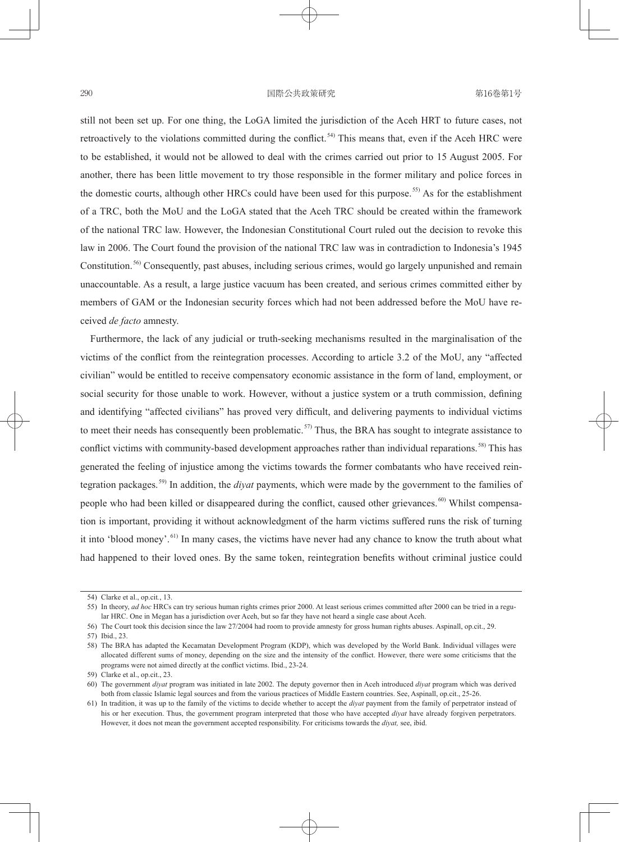still not been set up. For one thing, the LoGA limited the jurisdiction of the Aceh HRT to future cases, not retroactively to the violations committed during the conflict.<sup>54)</sup> This means that, even if the Aceh HRC were to be established, it would not be allowed to deal with the crimes carried out prior to 15 August 2005. For another, there has been little movement to try those responsible in the former military and police forces in the domestic courts, although other HRCs could have been used for this purpose.<sup>55)</sup> As for the establishment of a TRC, both the MoU and the LoGA stated that the Aceh TRC should be created within the framework of the national TRC law. However, the Indonesian Constitutional Court ruled out the decision to revoke this law in 2006. The Court found the provision of the national TRC law was in contradiction to Indonesia's 1945 Constitution. 56) Consequently, past abuses, including serious crimes, would go largely unpunished and remain unaccountable. As a result, a large justice vacuum has been created, and serious crimes committed either by members of GAM or the Indonesian security forces which had not been addressed before the MoU have received *de facto* amnesty.

Furthermore, the lack of any judicial or truth-seeking mechanisms resulted in the marginalisation of the victims of the conflict from the reintegration processes. According to article 3.2 of the MoU, any "affected civilian" would be entitled to receive compensatory economic assistance in the form of land, employment, or social security for those unable to work. However, without a justice system or a truth commission, defining and identifying "affected civilians" has proved very difficult, and delivering payments to individual victims to meet their needs has consequently been problematic.<sup>57)</sup> Thus, the BRA has sought to integrate assistance to conflict victims with community-based development approaches rather than individual reparations.<sup>58)</sup> This has generated the feeling of injustice among the victims towards the former combatants who have received reintegration packages. 59) In addition, the *diyat* payments, which were made by the government to the families of people who had been killed or disappeared during the conflict, caused other grievances.<sup>60)</sup> Whilst compensation is important, providing it without acknowledgment of the harm victims suffered runs the risk of turning it into 'blood money'.<sup>61)</sup> In many cases, the victims have never had any chance to know the truth about what had happened to their loved ones. By the same token, reintegration benefits without criminal justice could

57) Ibid., 23.

 <sup>54)</sup> Clarke et al., op.cit*.*, 13.

 <sup>55)</sup> In theory, *ad hoc* HRCs can try serious human rights crimes prior 2000. At least serious crimes committed after 2000 can be tried in a regular HRC. One in Megan has a jurisdiction over Aceh, but so far they have not heard a single case about Aceh.

 <sup>56)</sup> The Court took this decision since the law 27/2004 had room to provide amnesty for gross human rights abuses. Aspinall, op.cit., 29.

 <sup>58)</sup> The BRA has adapted the Kecamatan Development Program (KDP), which was developed by the World Bank. Individual villages were allocated different sums of money, depending on the size and the intensity of the conflict. However, there were some criticisms that the programs were not aimed directly at the conflict victims. Ibid., 23-24.

 <sup>59)</sup> Clarke et al., op.cit., 23.

 <sup>60)</sup> The government *diyat* program was initiated in late 2002. The deputy governor then in Aceh introduced *diyat* program which was derived both from classic Islamic legal sources and from the various practices of Middle Eastern countries. See, Aspinall, op.cit., 25-26.

 <sup>61)</sup> In tradition, it was up to the family of the victims to decide whether to accept the *diyat* payment from the family of perpetrator instead of his or her execution. Thus, the government program interpreted that those who have accepted *diyat* have already forgiven perpetrators. However, it does not mean the government accepted responsibility. For criticisms towards the *diyat,* see, ibid.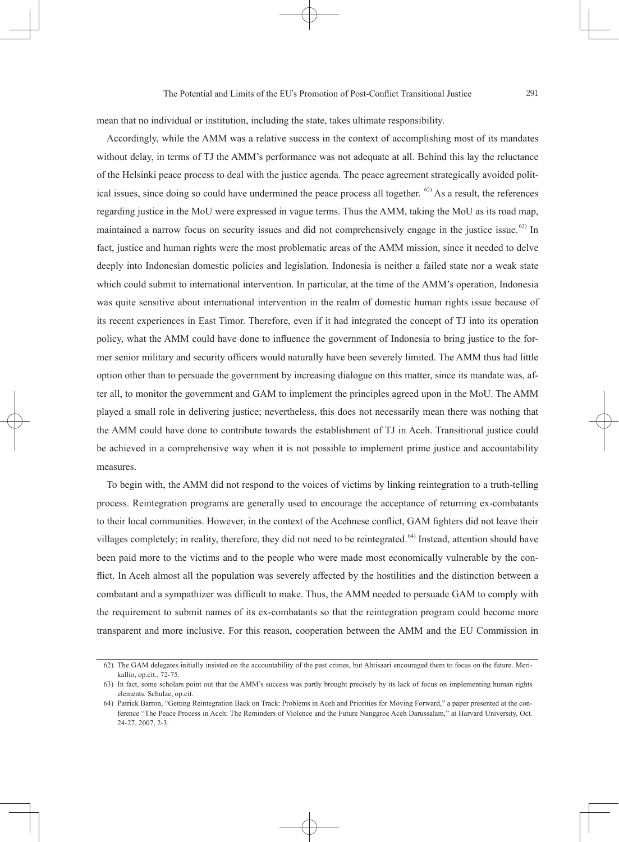mean that no individual or institution, including the state, takes ultimate responsibility.

Accordingly, while the AMM was a relative success in the context of accomplishing most of its mandates without delay, in terms of TJ the AMM's performance was not adequate at all. Behind this lay the reluctance of the Helsinki peace process to deal with the justice agenda. The peace agreement strategically avoided political issues, since doing so could have undermined the peace process all together.  $62$ ) As a result, the references regarding justice in the MoU were expressed in vague terms. Thus the AMM, taking the MoU as its road map, maintained a narrow focus on security issues and did not comprehensively engage in the justice issue. <sup>63)</sup> In fact, justice and human rights were the most problematic areas of the AMM mission, since it needed to delve deeply into Indonesian domestic policies and legislation. Indonesia is neither a failed state nor a weak state which could submit to international intervention. In particular, at the time of the AMM's operation, Indonesia was quite sensitive about international intervention in the realm of domestic human rights issue because of its recent experiences in East Timor. Therefore, even if it had integrated the concept of TJ into its operation policy, what the AMM could have done to influence the government of Indonesia to bring justice to the former senior military and security officers would naturally have been severely limited. The AMM thus had little option other than to persuade the government by increasing dialogue on this matter, since its mandate was, after all, to monitor the government and GAM to implement the principles agreed upon in the MoU. The AMM played a small role in delivering justice; nevertheless, this does not necessarily mean there was nothing that the AMM could have done to contribute towards the establishment of TJ in Aceh. Transitional justice could be achieved in a comprehensive way when it is not possible to implement prime justice and accountability measures.

To begin with, the AMM did not respond to the voices of victims by linking reintegration to a truth-telling process. Reintegration programs are generally used to encourage the acceptance of returning ex-combatants to their local communities. However, in the context of the Acehnese conflict, GAM fighters did not leave their villages completely; in reality, therefore, they did not need to be reintegrated. 64) Instead, attention should have been paid more to the victims and to the people who were made most economically vulnerable by the conflict. In Aceh almost all the population was severely affected by the hostilities and the distinction between a combatant and a sympathizer was difficult to make. Thus, the AMM needed to persuade GAM to comply with the requirement to submit names of its ex-combatants so that the reintegration program could become more transparent and more inclusive. For this reason, cooperation between the AMM and the EU Commission in

 <sup>62)</sup> The GAM delegates initially insisted on the accountability of the past crimes, but Ahtisaari encouraged them to focus on the future. Merikallio, op.cit., 72-75.

 <sup>63)</sup> In fact, some scholars point out that the AMM's success was partly brought precisely by its lack of focus on implementing human rights elements. Schulze, op.cit.

 <sup>64)</sup> Patrick Barron, "Getting Reintegration Back on Track: Problems in Aceh and Priorities for Moving Forward," a paper presented at the conference "The Peace Process in Aceh: The Reminders of Violence and the Future Nanggroe Aceh Darussalam," at Harvard University, Oct. 24-27, 2007, 2-3.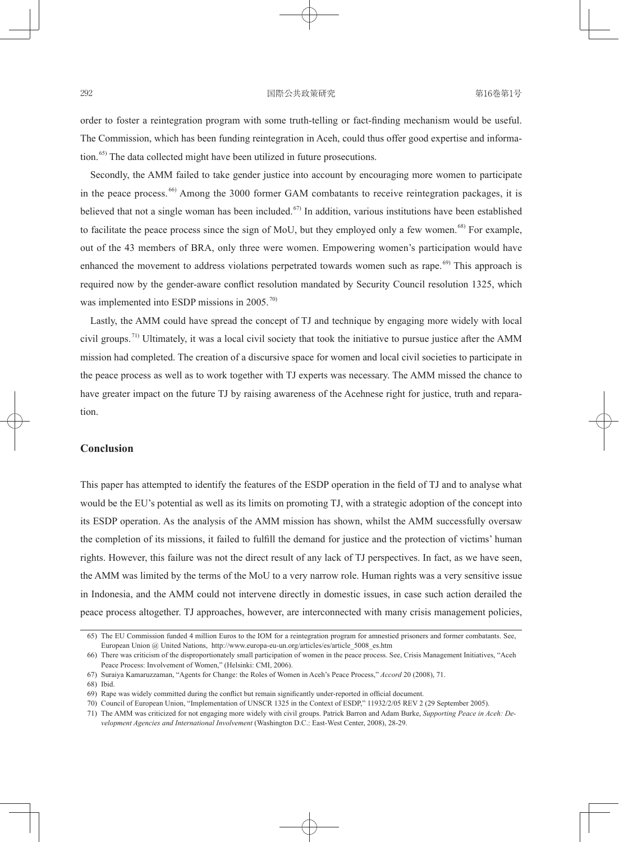#### 292 292 国際公共政策研究 292 第16巻第1号

order to foster a reintegration program with some truth-telling or fact-finding mechanism would be useful. The Commission, which has been funding reintegration in Aceh, could thus offer good expertise and information.<sup>65)</sup> The data collected might have been utilized in future prosecutions.

Secondly, the AMM failed to take gender justice into account by encouraging more women to participate in the peace process.<sup>66</sup> Among the 3000 former GAM combatants to receive reintegration packages, it is believed that not a single woman has been included.<sup> $67$ </sup> In addition, various institutions have been established to facilitate the peace process since the sign of MoU, but they employed only a few women.<sup>68)</sup> For example, out of the 43 members of BRA, only three were women. Empowering women's participation would have enhanced the movement to address violations perpetrated towards women such as rape.<sup>69)</sup> This approach is required now by the gender-aware conflict resolution mandated by Security Council resolution 1325, which was implemented into ESDP missions in 2005.<sup>70)</sup>

Lastly, the AMM could have spread the concept of TJ and technique by engaging more widely with local civil groups.<sup> $71)$ </sup> Ultimately, it was a local civil society that took the initiative to pursue justice after the AMM mission had completed. The creation of a discursive space for women and local civil societies to participate in the peace process as well as to work together with TJ experts was necessary. The AMM missed the chance to have greater impact on the future TJ by raising awareness of the Acehnese right for justice, truth and reparation.

# **Conclusion**

This paper has attempted to identify the features of the ESDP operation in the field of TJ and to analyse what would be the EU's potential as well as its limits on promoting TJ, with a strategic adoption of the concept into its ESDP operation. As the analysis of the AMM mission has shown, whilst the AMM successfully oversaw the completion of its missions, it failed to fulfill the demand for justice and the protection of victims' human rights. However, this failure was not the direct result of any lack of TJ perspectives. In fact, as we have seen, the AMM was limited by the terms of the MoU to a very narrow role. Human rights was a very sensitive issue in Indonesia, and the AMM could not intervene directly in domestic issues, in case such action derailed the peace process altogether. TJ approaches, however, are interconnected with many crisis management policies,

68) Ibid.

 <sup>65)</sup> The EU Commission funded 4 million Euros to the IOM for a reintegration program for amnestied prisoners and former combatants. See, European Union @ United Nations, http://www.europa-eu-un.org/articles/es/article\_5008\_es.htm

 <sup>66)</sup> There was criticism of the disproportionately small participation of women in the peace process. See, Crisis Management Initiatives, "Aceh Peace Process: Involvement of Women," (Helsinki: CMI, 2006).

 <sup>67)</sup> Suraiya Kamaruzzaman, "Agents for Change: the Roles of Women in Aceh's Peace Process," *Accord* 20 (2008), 71.

<sup>69)</sup> Rape was widely committed during the conflict but remain significantly under-reported in official document.

 <sup>70)</sup> Council of European Union, "Implementation of UNSCR 1325 in the Context of ESDP," 11932/2/05 REV 2 (29 September 2005).

 <sup>71)</sup> The AMM was criticized for not engaging more widely with civil groups. Patrick Barron and Adam Burke, *Supporting Peace in Aceh: Development Agencies and International Involvement* (Washington D.C.: East-West Center, 2008), 28-29.